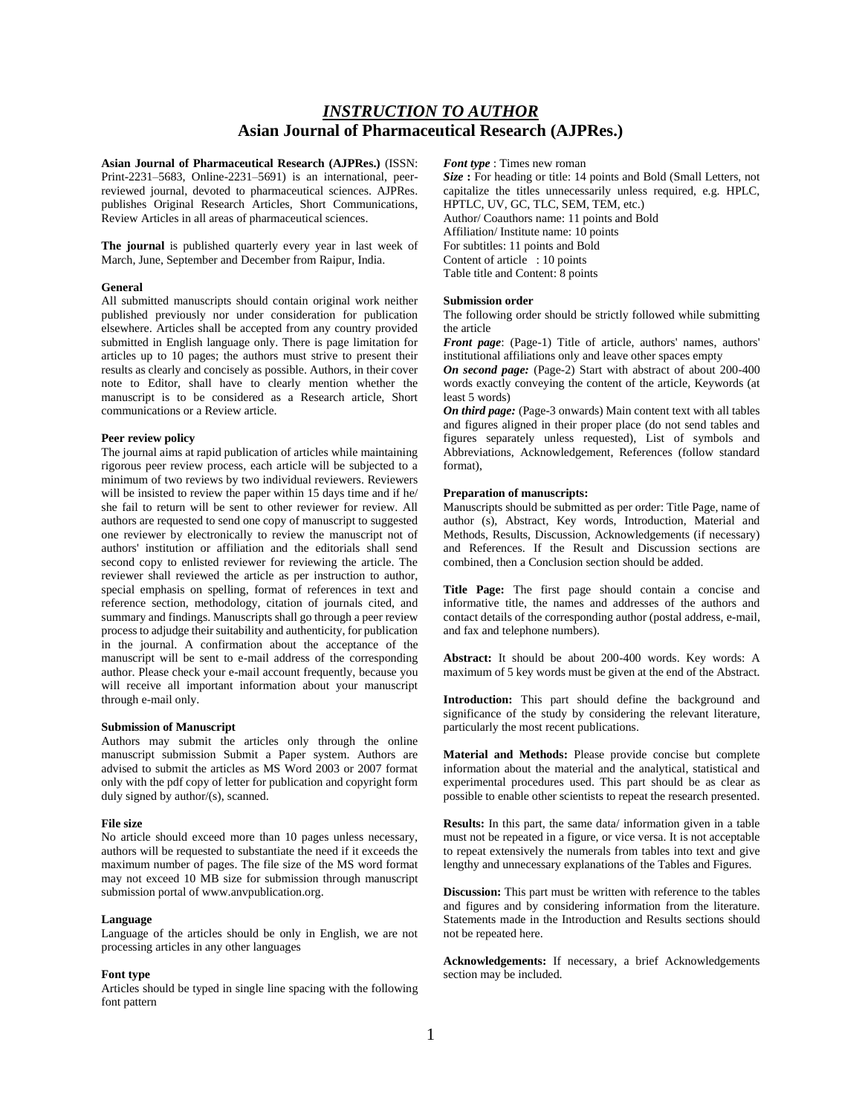# *INSTRUCTION TO AUTHOR* **Asian Journal of Pharmaceutical Research (AJPRes.)**

**Asian Journal of Pharmaceutical Research (AJPRes.)** (ISSN: Print-2231–5683, Online-2231–5691) is an international, peerreviewed journal, devoted to pharmaceutical sciences. AJPRes. publishes Original Research Articles, Short Communications, Review Articles in all areas of pharmaceutical sciences.

**The journal** is published quarterly every year in last week of March, June, September and December from Raipur, India.

# **General**

All submitted manuscripts should contain original work neither published previously nor under consideration for publication elsewhere. Articles shall be accepted from any country provided submitted in English language only. There is page limitation for articles up to 10 pages; the authors must strive to present their results as clearly and concisely as possible. Authors, in their cover note to Editor, shall have to clearly mention whether the manuscript is to be considered as a Research article, Short communications or a Review article.

### **Peer review policy**

The journal aims at rapid publication of articles while maintaining rigorous peer review process, each article will be subjected to a minimum of two reviews by two individual reviewers. Reviewers will be insisted to review the paper within 15 days time and if he/ she fail to return will be sent to other reviewer for review. All authors are requested to send one copy of manuscript to suggested one reviewer by electronically to review the manuscript not of authors' institution or affiliation and the editorials shall send second copy to enlisted reviewer for reviewing the article. The reviewer shall reviewed the article as per instruction to author, special emphasis on spelling, format of references in text and reference section, methodology, citation of journals cited, and summary and findings. Manuscripts shall go through a peer review process to adjudge their suitability and authenticity, for publication in the journal. A confirmation about the acceptance of the manuscript will be sent to e-mail address of the corresponding author. Please check your e-mail account frequently, because you will receive all important information about your manuscript through e-mail only.

### **Submission of Manuscript**

Authors may submit the articles only through the online manuscript submission Submit a Paper system. Authors are advised to submit the articles as MS Word 2003 or 2007 format only with the pdf copy of letter for publication and copyright form duly signed by author/(s), scanned.

# **File size**

No article should exceed more than 10 pages unless necessary, authors will be requested to substantiate the need if it exceeds the maximum number of pages. The file size of the MS word format may not exceed 10 MB size for submission through manuscript submission portal of www.anvpublication.org.

## **Language**

Language of the articles should be only in English, we are not processing articles in any other languages

#### **Font type**

Articles should be typed in single line spacing with the following font pattern

### *Font type* : Times new roman

*Size* **:** For heading or title: 14 points and Bold (Small Letters, not capitalize the titles unnecessarily unless required, e.g. HPLC, HPTLC, UV, GC, TLC, SEM, TEM, etc.) Author/ Coauthors name: 11 points and Bold Affiliation/ Institute name: 10 points For subtitles: 11 points and Bold Content of article : 10 points Table title and Content: 8 points

# **Submission order**

The following order should be strictly followed while submitting the article

*Front page*: (Page-1) Title of article, authors' names, authors' institutional affiliations only and leave other spaces empty

*On second page:* (Page-2) Start with abstract of about 200-400 words exactly conveying the content of the article, Keywords (at least 5 words)

*On third page:* (Page-3 onwards) Main content text with all tables and figures aligned in their proper place (do not send tables and figures separately unless requested), List of symbols and Abbreviations, Acknowledgement, References (follow standard format),

# **Preparation of manuscripts:**

Manuscripts should be submitted as per order: Title Page, name of author (s), Abstract, Key words, Introduction, Material and Methods, Results, Discussion, Acknowledgements (if necessary) and References. If the Result and Discussion sections are combined, then a Conclusion section should be added.

**Title Page:** The first page should contain a concise and informative title, the names and addresses of the authors and contact details of the corresponding author (postal address, e-mail, and fax and telephone numbers).

**Abstract:** It should be about 200-400 words. Key words: A maximum of 5 key words must be given at the end of the Abstract.

**Introduction:** This part should define the background and significance of the study by considering the relevant literature, particularly the most recent publications.

**Material and Methods:** Please provide concise but complete information about the material and the analytical, statistical and experimental procedures used. This part should be as clear as possible to enable other scientists to repeat the research presented.

**Results:** In this part, the same data/ information given in a table must not be repeated in a figure, or vice versa. It is not acceptable to repeat extensively the numerals from tables into text and give lengthy and unnecessary explanations of the Tables and Figures.

**Discussion:** This part must be written with reference to the tables and figures and by considering information from the literature. Statements made in the Introduction and Results sections should not be repeated here.

**Acknowledgements:** If necessary, a brief Acknowledgements section may be included.